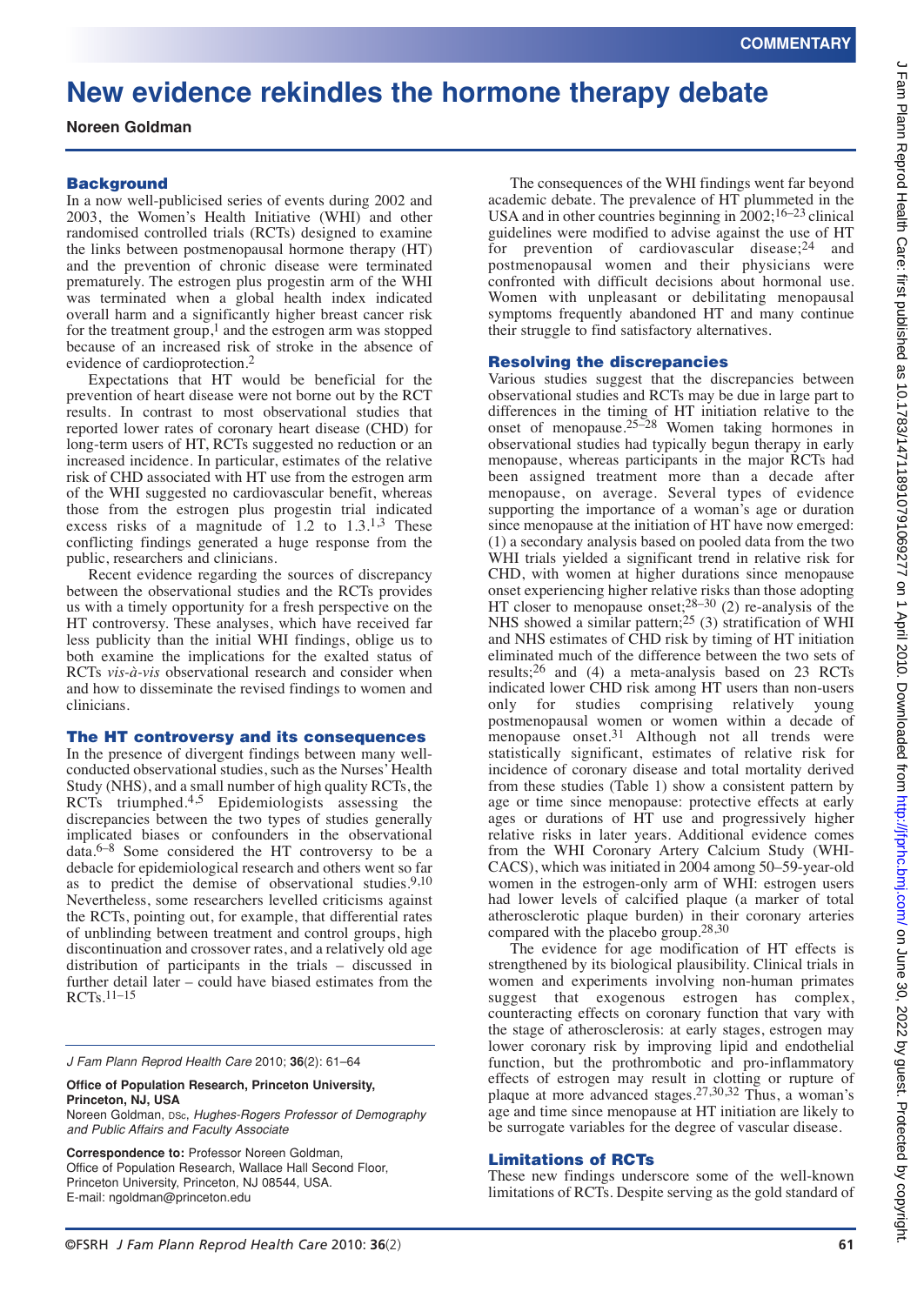# **New evidence rekindles the hormone therapy debate**

**Noreen Goldman**

#### **Background**

In a now well-publicised series of events during 2002 and 2003, the Women's Health Initiative (WHI) and other randomised controlled trials (RCTs) designed to examine the links between postmenopausal hormone therapy (HT) and the prevention of chronic disease were terminated prematurely. The estrogen plus progestin arm of the WHI was terminated when a global health index indicated overall harm and a significantly higher breast cancer risk for the treatment group, 1 and the estrogen arm was stopped because of an increased risk of stroke in the absence of evidence of cardioprotection. 2

Expectations that HT would be beneficial for the prevention of heart disease were not borne out by the RCT results. In contrast to most observational studies that reported lower rates of coronary heart disease (CHD) for long-term users of HT, RCTs suggested no reduction or an increased incidence. In particular, estimates of the relative risk of CHD associated with HT use from the estrogen arm of the WHI suggested no cardiovascular benefit, whereas those from the estrogen plus progestin trial indicated excess risks of a magnitude of  $1.2$  to  $1.3^{1,3}$  These conflicting findings generated a huge response from the public, researchers and clinicians.

Recent evidence regarding the sources of discrepancy between the observational studies and the RCTs provides us with a timely opportunity for a fresh perspective on the HT controversy. These analyses, which have received far less publicity than the initial WHI findings, oblige us to both examine the implications for the exalted status of RCTs *vis-à-vis* observational research and consider when and how to disseminate the revised findings to women and clinicians.

## **The HT controversy and its consequences**

In the presence of divergent findings between many wellconducted observational studies, such as the Nurses' Health Study (NHS), and a small number of high quality RCTs, the RCTs triumphed.4,5 Epidemiologists assessing the discrepancies between the two types of studies generally implicated biases or confounders in the observational  $data.6-8$  Some considered the HT controversy to be a debacle for epidemiological research and others went so far as to predict the demise of observational studies.9,10 Nevertheless, some researchers levelled criticisms against the RCTs, pointing out, for example, that differential rates of unblinding between treatment and control groups, high discontinuation and crossover rates, and a relatively old age distribution of participants in the trials – discussed in further detail later – could have biased estimates from the RCTs.11–15

*J Fam Plann Reprod Health Care* 2010; **36**(2): 61–64

#### **Office of Population Research, Princeton University, Princeton, NJ, USA**

Noreen Goldman, DSc, *Hughes-Rogers Professor of Demography and Public Affairs and Faculty Associate*

**Correspondence to:** Professor Noreen Goldman, Office of Population Research, Wallace Hall Second Floor, Princeton University, Princeton, NJ 08544, USA. E-mail: ngoldman@princeton.edu

The consequences of the WHI findings went far beyond academic debate. The prevalence of HT plummeted in the USA and in other countries beginning in  $2002$ ;<sup>16–23</sup> clinical guidelines were modified to advise against the use of HT for prevention of cardiovascular disease; $24$  and postmenopausal women and their physicians were confronted with difficult decisions about hormonal use. Women with unpleasant or debilitating menopausal symptoms frequently abandoned HT and many continue their struggle to find satisfactory alternatives.

## **Resolving the discrepancies**

Various studies suggest that the discrepancies between observational studies and RCTs may be due in large part to differences in the timing of HT initiation relative to the onset of menopause.25–28 Women taking hormones in observational studies had typically begun therapy in early menopause, whereas participants in the major RCTs had been assigned treatment more than a decade after menopause, on average. Several types of evidence supporting the importance of a woman's age or duration since menopause at the initiation of HT have now emerged: (1) a secondary analysis based on pooled data from the two WHI trials yielded a significant trend in relative risk for CHD, with women at higher durations since menopause onset experiencing higher relative risks than those adopting HT closer to menopause onset;<sup>28–30</sup> (2) re-analysis of the NHS showed a similar pattern;<sup>25</sup> (3) stratification of WHI and NHS estimates of CHD risk by timing of HT initiation eliminated much of the difference between the two sets of results;26 and (4) a meta-analysis based on 23 RCTs indicated lower CHD risk among HT users than non-users only for studies comprising relatively young postmenopausal women or women within a decade of menopause onset.<sup>31</sup> Although not all trends were statistically significant, estimates of relative risk for incidence of coronary disease and total mortality derived from these studies (Table 1) show a consistent pattern by age or time since menopause: protective effects at early ages or durations of HT use and progressively higher relative risks in later years. Additional evidence comes from the WHI Coronary Artery Calcium Study (WHI-CACS), which was initiated in 2004 among 50–59-year-old women in the estrogen-only arm of WHI: estrogen users had lower levels of calcified plaque (a marker of total atherosclerotic plaque burden) in their coronary arteries compared with the placebo group.28,30

The evidence for age modification of HT effects is strengthened by its biological plausibility. Clinical trials in women and experiments involving non-human primates suggest that exogenous estrogen has complex, counteracting effects on coronary function that vary with the stage of atherosclerosis: at early stages, estrogen may lower coronary risk by improving lipid and endothelial function, but the prothrombotic and pro-inflammatory effects of estrogen may result in clotting or rupture of plaque at more advanced stages.27,30,32 Thus, a woman's age and time since menopause at HT initiation are likely to be surrogate variables for the degree of vascular disease.

## **Limitations of RCTs**

These new findings underscore some of the well-known limitations of RCTs. Despite serving as the gold standard of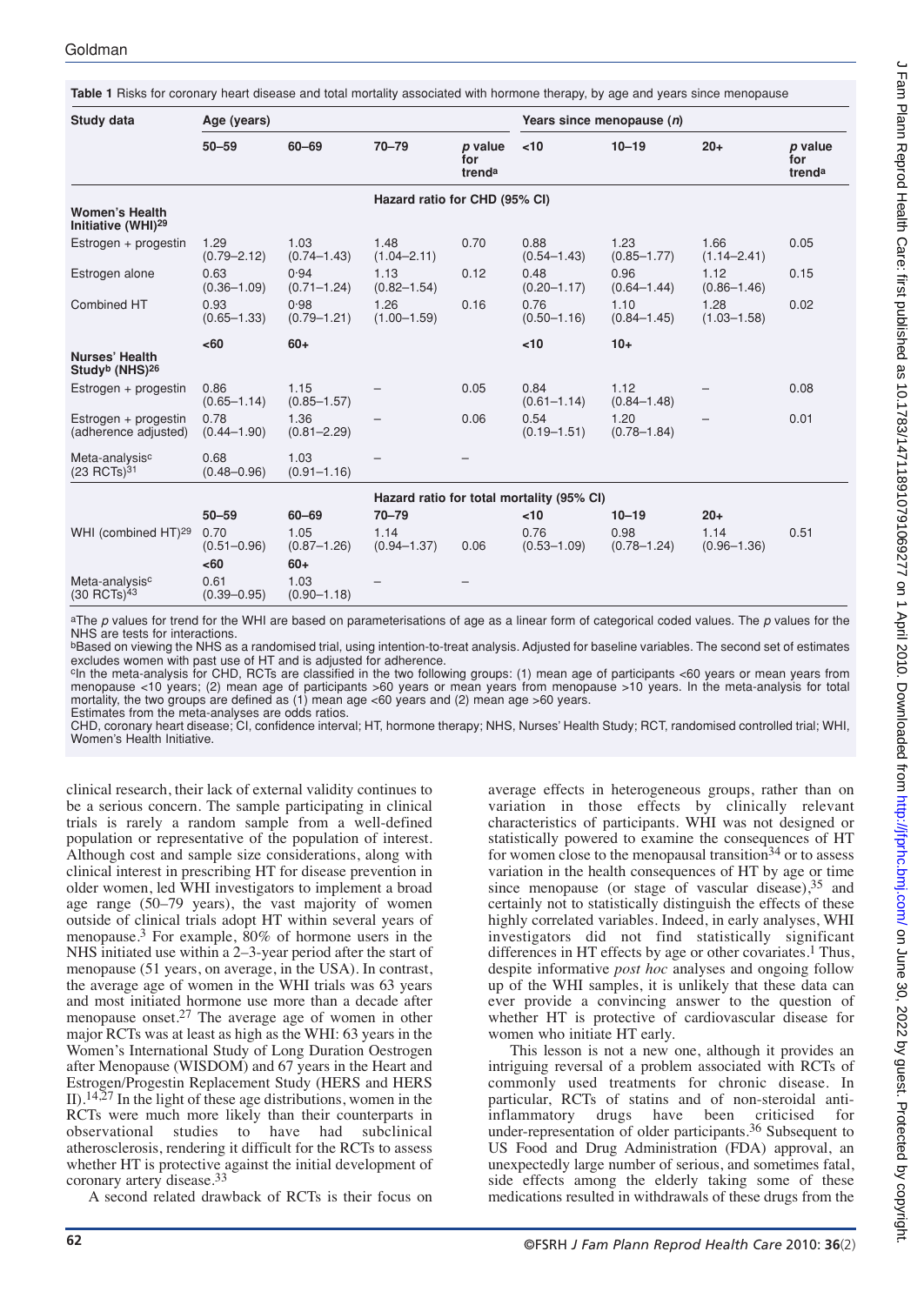| Study data                                               | Age (years)             |                         |                                           |                          | Years since menopause (n) |                         |                         |                          |
|----------------------------------------------------------|-------------------------|-------------------------|-------------------------------------------|--------------------------|---------------------------|-------------------------|-------------------------|--------------------------|
|                                                          | $50 - 59$               | $60 - 69$               | $70 - 79$                                 | p value<br>for<br>trenda | ~10                       | $10 - 19$               | $20+$                   | p value<br>for<br>trenda |
|                                                          |                         |                         | Hazard ratio for CHD (95% CI)             |                          |                           |                         |                         |                          |
| <b>Women's Health</b><br>Initiative (WHI) <sup>29</sup>  |                         |                         |                                           |                          |                           |                         |                         |                          |
| Estrogen + progestin                                     | 1.29<br>$(0.79 - 2.12)$ | 1.03<br>$(0.74 - 1.43)$ | 1.48<br>$(1.04 - 2.11)$                   | 0.70                     | 0.88<br>$(0.54 - 1.43)$   | 1.23<br>$(0.85 - 1.77)$ | 1.66<br>$(1.14 - 2.41)$ | 0.05                     |
| Estrogen alone                                           | 0.63<br>$(0.36 - 1.09)$ | 0.94<br>$(0.71 - 1.24)$ | 1.13<br>$(0.82 - 1.54)$                   | 0.12                     | 0.48<br>$(0.20 - 1.17)$   | 0.96<br>$(0.64 - 1.44)$ | 1.12<br>$(0.86 - 1.46)$ | 0.15                     |
| Combined HT                                              | 0.93<br>$(0.65 - 1.33)$ | 0.98<br>$(0.79 - 1.21)$ | 1.26<br>$(1.00 - 1.59)$                   | 0.16                     | 0.76<br>$(0.50 - 1.16)$   | 1.10<br>$(0.84 - 1.45)$ | 1.28<br>$(1.03 - 1.58)$ | 0.02                     |
|                                                          | <60                     | $60+$                   |                                           |                          | ~10                       | $10+$                   |                         |                          |
| Nurses' Health<br>Study <sup>b</sup> (NHS) <sup>26</sup> |                         |                         |                                           |                          |                           |                         |                         |                          |
| Estrogen + progestin                                     | 0.86<br>$(0.65 - 1.14)$ | 1.15<br>$(0.85 - 1.57)$ |                                           | 0.05                     | 0.84<br>$(0.61 - 1.14)$   | 1.12<br>$(0.84 - 1.48)$ |                         | 0.08                     |
| Estrogen + progestin<br>(adherence adjusted)             | 0.78<br>$(0.44 - 1.90)$ | 1.36<br>$(0.81 - 2.29)$ |                                           | 0.06                     | 0.54<br>$(0.19 - 1.51)$   | 1.20<br>$(0.78 - 1.84)$ |                         | 0.01                     |
| Meta-analysisc<br>$(23 \text{ RCTs})^{31}$               | 0.68<br>$(0.48 - 0.96)$ | 1.03<br>$(0.91 - 1.16)$ |                                           |                          |                           |                         |                         |                          |
|                                                          |                         |                         | Hazard ratio for total mortality (95% CI) |                          |                           |                         |                         |                          |
|                                                          | $50 - 59$               | $60 - 69$               | $70 - 79$                                 |                          | <10                       | $10 - 19$               | $20+$                   |                          |
| WHI (combined HT) <sup>29</sup>                          | 0.70<br>$(0.51 - 0.96)$ | 1.05<br>$(0.87 - 1.26)$ | 1.14<br>$(0.94 - 1.37)$                   | 0.06                     | 0.76<br>$(0.53 - 1.09)$   | 0.98<br>$(0.78 - 1.24)$ | 1.14<br>$(0.96 - 1.36)$ | 0.51                     |
|                                                          | <60                     | $60+$                   |                                           |                          |                           |                         |                         |                          |
| Meta-analysisc<br>$(30 \text{ RCTs})^{43}$               | 0.61<br>$(0.39 - 0.95)$ | 1.03<br>$(0.90 - 1.18)$ |                                           |                          |                           |                         |                         |                          |

**Table 1** Risks for coronary heart disease and total mortality associated with hormone therapy, by age and years since menopause

aThe *p* values for trend for the WHI are based on parameterisations of age as a linear form of categorical coded values. The *p* values for the NHS are tests for interactions.

bBased on viewing the NHS as a randomised trial, using intention-to-treat analysis. Adjusted for baseline variables. The second set of estimates excludes women with past use of HT and is adjusted for adherence.

cIn the meta-analysis for CHD, RCTs are classified in the two following groups: (1) mean age of participants <60 years or mean years from menopause <10 years; (2) mean age of participants >60 years or mean years from menopause >10 years. In the meta-analysis for total mortality, the two groups are defined as (1) mean age <60 years and (2) mean age >60 years. Estimates from the meta-analyses are odds ratios.

CHD, coronary heart disease; CI, confidence interval; HT, hormone therapy; NHS, Nurses' Health Study; RCT, randomised controlled trial; WHI, Women's Health Initiative.

clinical research, their lack of external validity continues to be a serious concern. The sample participating in clinical trials is rarely a random sample from a well-defined population or representative of the population of interest. Although cost and sample size considerations, along with clinical interest in prescribing HT for disease prevention in older women, led WHI investigators to implement a broad age range (50–79 years), the vast majority of women outside of clinical trials adopt HT within several years of menopause. 3 For example, 80% of hormone users in the NHS initiated use within a 2–3-year period after the start of menopause (51 years, on average, in the USA). In contrast, the average age of women in the WHI trials was 63 years and most initiated hormone use more than a decade after menopause onset.27 The average age of women in other major RCTs was at least as high as the WHI: 63 years in the Women's International Study of Long Duration Oestrogen after Menopause (WISDOM) and 67 years in the Heart and Estrogen/Progestin Replacement Study (HERS and HERS II).14,27 In the light of these age distributions, women in the RCTs were much more likely than their counterparts in observational studies to have had subclinical observational studies to atherosclerosis, rendering it difficult for the RCTs to assess whether HT is protective against the initial development of coronary artery disease.33

A second related drawback of RCTs is their focus on

average effects in heterogeneous groups, rather than on variation in those effects by clinically relevant characteristics of participants. WHI was not designed or statistically powered to examine the consequences of HT for women close to the menopausal transition $34$  or to assess variation in the health consequences of HT by age or time since menopause (or stage of vascular disease), $35$  and certainly not to statistically distinguish the effects of these highly correlated variables. Indeed, in early analyses, WHI investigators did not find statistically significant differences in HT effects by age or other covariates. 1 Thus, despite informative *post hoc* analyses and ongoing follow up of the WHI samples, it is unlikely that these data can ever provide a convincing answer to the question of whether HT is protective of cardiovascular disease for women who initiate HT early.

This lesson is not a new one, although it provides an intriguing reversal of a problem associated with RCTs of commonly used treatments for chronic disease. In particular, RCTs of statins and of non-steroidal antiinflammatory drugs have been criticised for under-representation of older participants.36 Subsequent to US Food and Drug Administration (FDA) approval, an unexpectedly large number of serious, and sometimes fatal, side effects among the elderly taking some of these medications resulted in withdrawals of these drugs from the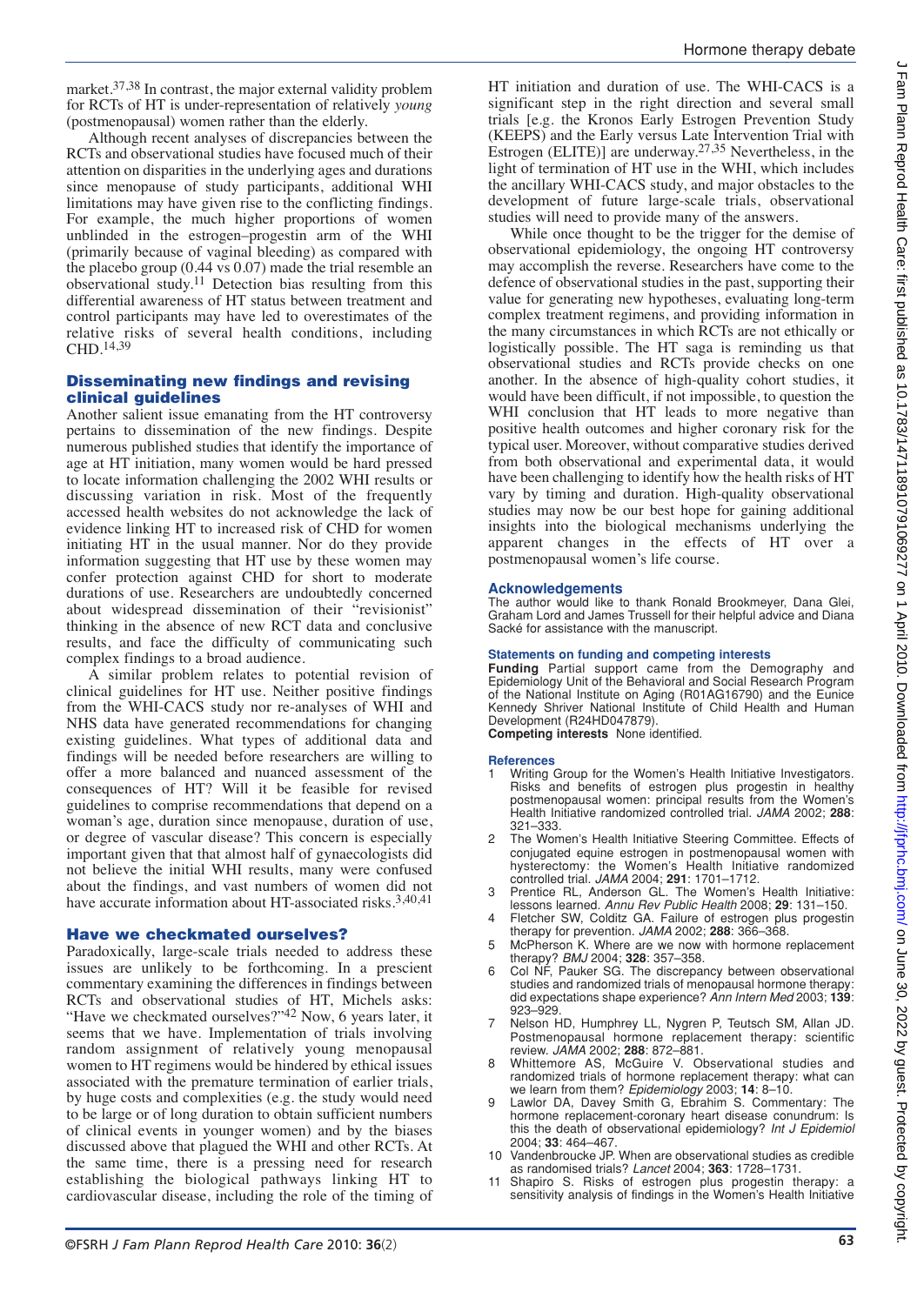market.37,38 In contrast, the major external validity problem for RCTs of HT is under-representation of relatively *young* (postmenopausal) women rather than the elderly.

Although recent analyses of discrepancies between the RCTs and observational studies have focused much of their attention on disparities in the underlying ages and durations since menopause of study participants, additional WHI limitations may have given rise to the conflicting findings. For example, the much higher proportions of women unblinded in the estrogen–progestin arm of the WHI (primarily because of vaginal bleeding) as compared with the placebo group (0.44 vs 0.07) made the trial resemble an observational study.11 Detection bias resulting from this differential awareness of HT status between treatment and control participants may have led to overestimates of the relative risks of several health conditions, including CHD.14,39

## **Disseminating new findings and revising clinical guidelines**

Another salient issue emanating from the HT controversy pertains to dissemination of the new findings. Despite numerous published studies that identify the importance of age at HT initiation, many women would be hard pressed to locate information challenging the 2002 WHI results or discussing variation in risk. Most of the frequently accessed health websites do not acknowledge the lack of evidence linking HT to increased risk of CHD for women initiating HT in the usual manner. Nor do they provide information suggesting that HT use by these women may confer protection against CHD for short to moderate durations of use. Researchers are undoubtedly concerned about widespread dissemination of their "revisionist" thinking in the absence of new RCT data and conclusive results, and face the difficulty of communicating such complex findings to a broad audience.

A similar problem relates to potential revision of clinical guidelines for HT use. Neither positive findings from the WHI-CACS study nor re-analyses of WHI and NHS data have generated recommendations for changing existing guidelines. What types of additional data and findings will be needed before researchers are willing to offer a more balanced and nuanced assessment of the consequences of HT? Will it be feasible for revised guidelines to comprise recommendations that depend on a woman's age, duration since menopause, duration of use, or degree of vascular disease? This concern is especially important given that that almost half of gynaecologists did not believe the initial WHI results, many were confused about the findings, and vast numbers of women did not have accurate information about HT-associated risks.<sup>3,40,41</sup>

## **Have we checkmated ourselves?**

Paradoxically, large-scale trials needed to address these issues are unlikely to be forthcoming. In a prescient commentary examining the differences in findings between RCTs and observational studies of HT, Michels asks: "Have we checkmated ourselves?"42 Now, 6 years later, it seems that we have. Implementation of trials involving random assignment of relatively young menopausal women to HT regimens would be hindered by ethical issues associated with the premature termination of earlier trials, by huge costs and complexities (e.g. the study would need to be large or of long duration to obtain sufficient numbers of clinical events in younger women) and by the biases discussed above that plagued the WHI and other RCTs. At the same time, there is a pressing need for research establishing the biological pathways linking HT to cardiovascular disease, including the role of the timing of HT initiation and duration of use. The WHI-CACS is a significant step in the right direction and several small trials [e.g. the Kronos Early Estrogen Prevention Study (KEEPS) and the Early versus Late Intervention Trial with Estrogen (ELITE)] are underway.<sup>27,35</sup> Nevertheless, in the light of termination of HT use in the WHI, which includes the ancillary WHI-CACS study, and major obstacles to the development of future large-scale trials, observational studies will need to provide many of the answers.

While once thought to be the trigger for the demise of observational epidemiology, the ongoing HT controversy may accomplish the reverse. Researchers have come to the defence of observational studies in the past, supporting their value for generating new hypotheses, evaluating long-term complex treatment regimens, and providing information in the many circumstances in which RCTs are not ethically or logistically possible. The HT saga is reminding us that observational studies and RCTs provide checks on one another. In the absence of high-quality cohort studies, it would have been difficult, if not impossible, to question the WHI conclusion that HT leads to more negative than positive health outcomes and higher coronary risk for the typical user. Moreover, without comparative studies derived from both observational and experimental data, it would have been challenging to identify how the health risks of HT vary by timing and duration. High-quality observational studies may now be our best hope for gaining additional insights into the biological mechanisms underlying the apparent changes in the effects of HT over a postmenopausal women's life course.

#### **Acknowledgements**

The author would like to thank Ronald Brookmeyer, Dana Glei, Graham Lord and James Trussell for their helpful advice and Diana Sacké for assistance with the manuscript.

#### **Statements on funding and competing interests**

**Funding** Partial support came from the Demography and Epidemiology Unit of the Behavioral and Social Research Program of the National Institute on Aging (R01AG16790) and the Eunice Kennedy Shriver National Institute of Child Health and Human Development (R24HD047879).

**Competing interests** None identified.

#### **References**

- Writing Group for the Women's Health Initiative Investigators. Risks and benefits of estrogen plus progestin in healthy postmenopausal women: principal results from the Women's Health Initiative randomized controlled trial. *JAMA* 2002; **288** : 321–333.
- The Women's Health Initiative Steering Committee. Effects of conjugated equine estrogen in postmenopausal women with hysterectomy: the Women's Health Initiative randomized controlled trial. *JAMA* 2004; **291**: 1701–1712.
- 3 Prentice RL, Anderson GL. The Women's Health Initiative: lessons learned. *Annu Rev Public Health* 2008; **29**: 131–150.
- Fletcher SW, Colditz GA. Failure of estrogen plus progestin therapy for prevention. *JAMA* 2002; **288**: 366–368.
- 5 McPherson K. Where are we now with hormone replacement therapy? *BMJ* 2004; **328**: 357–358.
- 6 Col NF, Pauker SG. The discrepancy between observational studies and randomized trials of menopausal hormone therapy: did expectations shape experience? *Ann Intern Med* 2003; **139** : 923–929.
- 7 Nelson HD, Humphrey LL, Nygren P, Teutsch SM, Allan JD. Postmenopausal hormone replacement therapy: scientific review. *JAMA* 2002; **288**: 872–881.
- 8 Whittemore AS, McGuire V. Observational studies and randomized trials of hormone replacement therapy: what can we learn from them? *Epidemiology* 2003; **14**: 8–10.
- Lawlor DA, Davey Smith G, Ebrahim S. Commentary: The hormone replacement-coronary heart disease conundrum: Is this the death of observational epidemiology? *Int J Epidemiol* 2004; **33**: 464–467.
- 10 Vandenbroucke JP. When are observational studies as credible as randomised trials? *Lancet* 2004; **363**: 1728–1731.
- 11 Shapiro S. Risks of estrogen plus progestin therapy: a sensitivity analysis of findings in the Women's Health Initiative